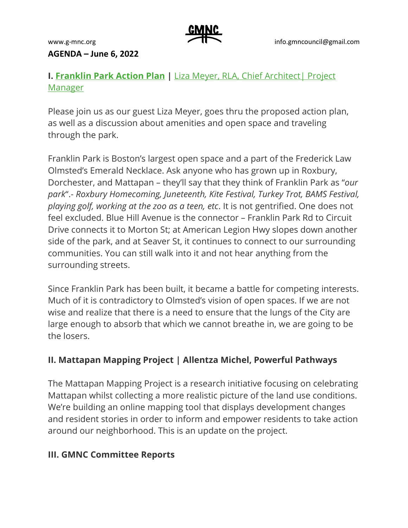

#### **AGENDA – June 6, 2022**

## **I. [Franklin Park Action Plan](https://franklinparkactionplan.com/) |** [Liza Meyer, RLA, Chief Architect| Project](https://www.boston.gov/departments/parks-and-recreation/liza-meyer)  [Manager](https://www.boston.gov/departments/parks-and-recreation/liza-meyer)

Please join us as our guest Liza Meyer, goes thru the proposed action plan, as well as a discussion about amenities and open space and traveling through the park.

Franklin Park is Boston's largest open space and a part of the Frederick Law Olmsted's Emerald Necklace. Ask anyone who has grown up in Roxbury, Dorchester, and Mattapan – they'll say that they think of Franklin Park as "*our park*".- *Roxbury Homecoming, Juneteenth, Kite Festival, Turkey Trot, BAMS Festival, playing golf, working at the zoo as a teen, etc*. It is not gentrified. One does not feel excluded. Blue Hill Avenue is the connector – Franklin Park Rd to Circuit Drive connects it to Morton St; at American Legion Hwy slopes down another side of the park, and at Seaver St, it continues to connect to our surrounding communities. You can still walk into it and not hear anything from the surrounding streets.

Since Franklin Park has been built, it became a battle for competing interests. Much of it is contradictory to Olmsted's vision of open spaces. If we are not wise and realize that there is a need to ensure that the lungs of the City are large enough to absorb that which we cannot breathe in, we are going to be the losers.

## **II. Mattapan Mapping Project | Allentza Michel, Powerful Pathways**

The Mattapan Mapping Project is a research initiative focusing on celebrating Mattapan whilst collecting a more realistic picture of the land use conditions. We're building an online mapping tool that displays development changes and resident stories in order to inform and empower residents to take action around our neighborhood. This is an update on the project.

### **III. GMNC Committee Reports**